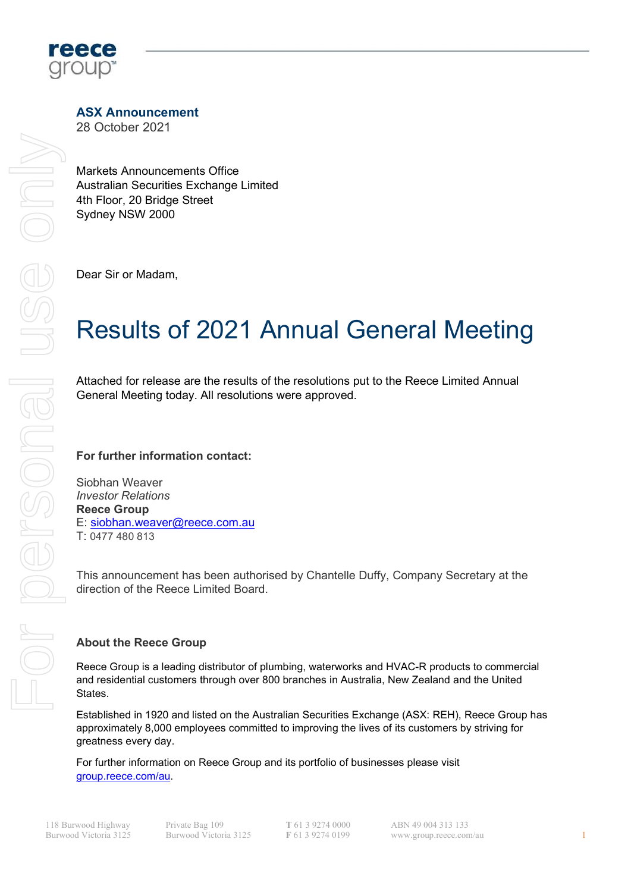

## ASX Announcement

28 October 2021

Markets Announcements Office Australian Securities Exchange Limited 4th Floor, 20 Bridge Street Sydney NSW 2000

Dear Sir or Madam,

# Results of 2021 Annual General Meeting

Attached for release are the results of the resolutions put to the Reece Limited Annual General Meeting today. All resolutions were approved.

### For further information contact:

Siobhan Weaver Investor Relations Reece Group E: siobhan.weaver@reece.com.au T: 0477 480 813

This announcement has been authorised by Chantelle Duffy, Company Secretary at the direction of the Reece Limited Board.

### About the Reece Group

Reece Group is a leading distributor of plumbing, waterworks and HVAC-R products to commercial and residential customers through over 800 branches in Australia, New Zealand and the United States.

Established in 1920 and listed on the Australian Securities Exchange (ASX: REH), Reece Group has approximately 8,000 employees committed to improving the lives of its customers by striving for greatness every day.

For further information on Reece Group and its portfolio of businesses please visit

T 61 3 9274 0000 F 61 3 9274 0199